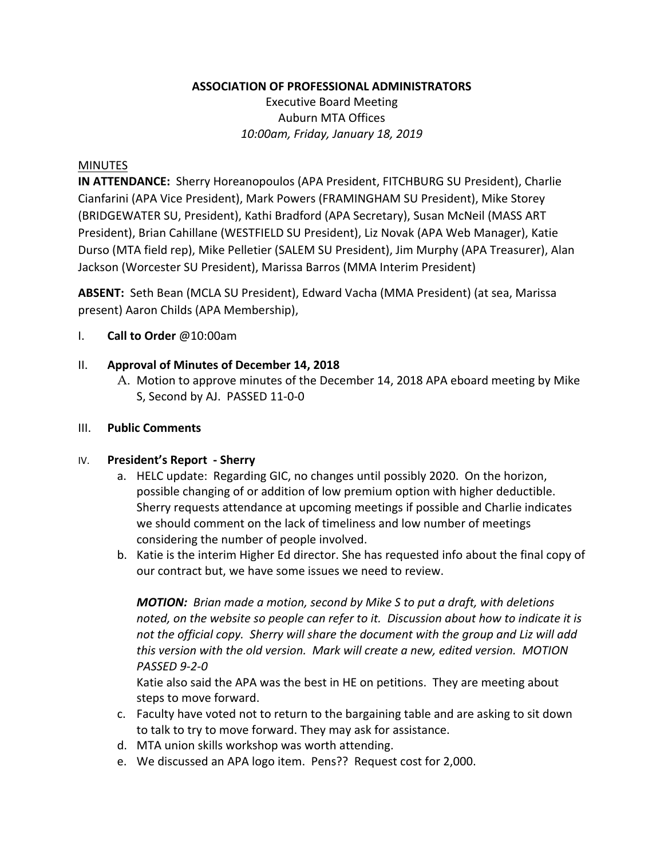**ASSOCIATION OF PROFESSIONAL ADMINISTRATORS**

Executive Board Meeting Auburn MTA Offices *10:00am, Friday, January 18, 2019*

#### MINUTES

**IN ATTENDANCE:** Sherry Horeanopoulos (APA President, FITCHBURG SU President), Charlie Cianfarini (APA Vice President), Mark Powers (FRAMINGHAM SU President), Mike Storey (BRIDGEWATER SU, President), Kathi Bradford (APA Secretary), Susan McNeil (MASS ART President), Brian Cahillane (WESTFIELD SU President), Liz Novak (APA Web Manager), Katie Durso (MTA field rep), Mike Pelletier (SALEM SU President), Jim Murphy (APA Treasurer), Alan Jackson (Worcester SU President), Marissa Barros (MMA Interim President)

**ABSENT:** Seth Bean (MCLA SU President), Edward Vacha (MMA President) (at sea, Marissa present) Aaron Childs (APA Membership),

I. **Call to Order** @10:00am

## II. **Approval of Minutes of December 14, 2018**

A. Motion to approve minutes of the December 14, 2018 APA eboard meeting by Mike S, Second by AJ. PASSED 11-0-0

## III. **Public Comments**

#### IV. **President's Report - Sherry**

- a. HELC update: Regarding GIC, no changes until possibly 2020. On the horizon, possible changing of or addition of low premium option with higher deductible. Sherry requests attendance at upcoming meetings if possible and Charlie indicates we should comment on the lack of timeliness and low number of meetings considering the number of people involved.
- b. Katie is the interim Higher Ed director. She has requested info about the final copy of our contract but, we have some issues we need to review.

*MOTION: Brian made a motion, second by Mike S to put a draft, with deletions noted, on the website so people can refer to it. Discussion about how to indicate it is not the official copy. Sherry will share the document with the group and Liz will add this version with the old version. Mark will create a new, edited version. MOTION PASSED 9-2-0*

Katie also said the APA was the best in HE on petitions. They are meeting about steps to move forward.

- c. Faculty have voted not to return to the bargaining table and are asking to sit down to talk to try to move forward. They may ask for assistance.
- d. MTA union skills workshop was worth attending.
- e. We discussed an APA logo item. Pens?? Request cost for 2,000.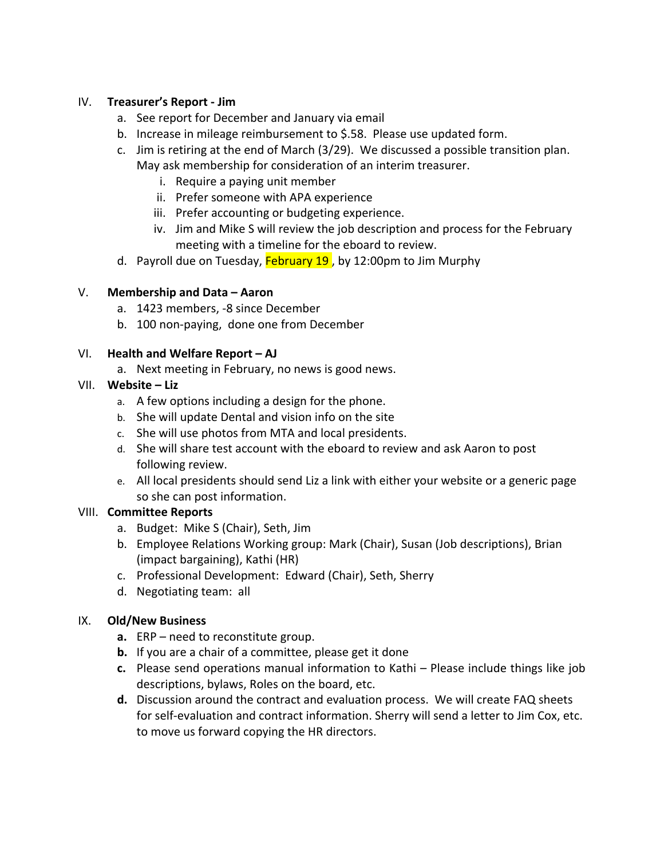## IV. **Treasurer's Report - Jim**

- a. See report for December and January via email
- b. Increase in mileage reimbursement to \$.58. Please use updated form.
- c. Jim is retiring at the end of March (3/29). We discussed a possible transition plan. May ask membership for consideration of an interim treasurer.
	- i. Require a paying unit member
	- ii. Prefer someone with APA experience
	- iii. Prefer accounting or budgeting experience.
	- iv. Jim and Mike S will review the job description and process for the February meeting with a timeline for the eboard to review.
- d. Payroll due on Tuesday, **February 19**, by 12:00pm to Jim Murphy

# V. **Membership and Data – Aaron**

- a. 1423 members, -8 since December
- b. 100 non-paying, done one from December

# VI. **Health and Welfare Report – AJ**

a. Next meeting in February, no news is good news.

# VII. **Website – Liz**

- a. A few options including a design for the phone.
- b. She will update Dental and vision info on the site
- c. She will use photos from MTA and local presidents.
- d. She will share test account with the eboard to review and ask Aaron to post following review.
- e. All local presidents should send Liz a link with either your website or a generic page so she can post information.

# VIII. **Committee Reports**

- a. Budget: Mike S (Chair), Seth, Jim
- b. Employee Relations Working group: Mark (Chair), Susan (Job descriptions), Brian (impact bargaining), Kathi (HR)
- c. Professional Development: Edward (Chair), Seth, Sherry
- d. Negotiating team: all

## IX. **Old/New Business**

- **a.** ERP need to reconstitute group.
- **b.** If you are a chair of a committee, please get it done
- **c.** Please send operations manual information to Kathi Please include things like job descriptions, bylaws, Roles on the board, etc.
- **d.** Discussion around the contract and evaluation process. We will create FAQ sheets for self-evaluation and contract information. Sherry will send a letter to Jim Cox, etc. to move us forward copying the HR directors.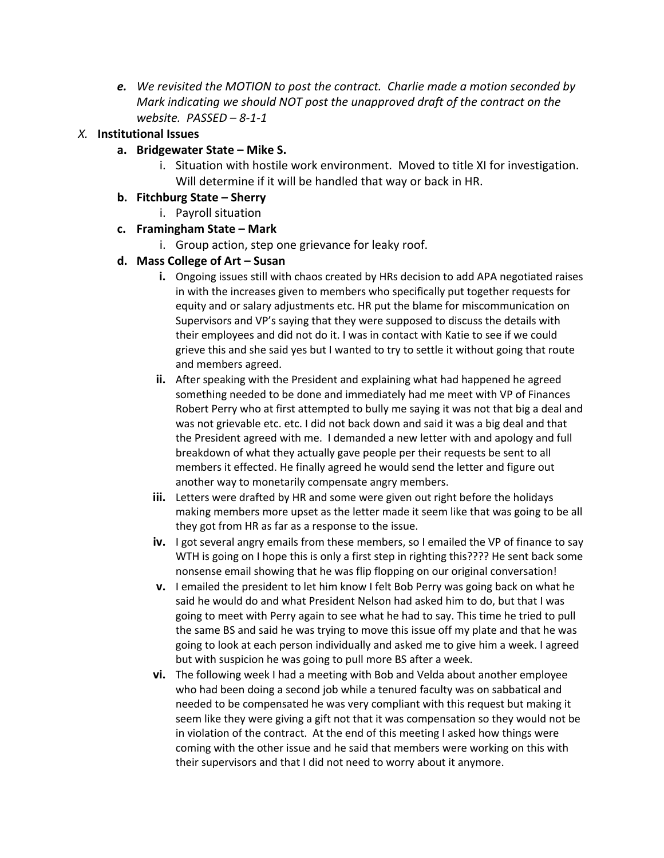*e. We revisited the MOTION to post the contract. Charlie made a motion seconded by Mark indicating we should NOT post the unapproved draft of the contract on the website. PASSED – 8-1-1*

## *X.* **Institutional Issues**

- **a. Bridgewater State – Mike S.** 
	- i. Situation with hostile work environment. Moved to title XI for investigation. Will determine if it will be handled that way or back in HR.

## **b. Fitchburg State – Sherry**

- i. Payroll situation
- **c. Framingham State – Mark** 
	- i. Group action, step one grievance for leaky roof.

## **d. Mass College of Art – Susan**

- **i.** Ongoing issues still with chaos created by HRs decision to add APA negotiated raises in with the increases given to members who specifically put together requests for equity and or salary adjustments etc. HR put the blame for miscommunication on Supervisors and VP's saying that they were supposed to discuss the details with their employees and did not do it. I was in contact with Katie to see if we could grieve this and she said yes but I wanted to try to settle it without going that route and members agreed.
- **ii.** After speaking with the President and explaining what had happened he agreed something needed to be done and immediately had me meet with VP of Finances Robert Perry who at first attempted to bully me saying it was not that big a deal and was not grievable etc. etc. I did not back down and said it was a big deal and that the President agreed with me. I demanded a new letter with and apology and full breakdown of what they actually gave people per their requests be sent to all members it effected. He finally agreed he would send the letter and figure out another way to monetarily compensate angry members.
- **iii.** Letters were drafted by HR and some were given out right before the holidays making members more upset as the letter made it seem like that was going to be all they got from HR as far as a response to the issue.
- **iv.** I got several angry emails from these members, so I emailed the VP of finance to say WTH is going on I hope this is only a first step in righting this???? He sent back some nonsense email showing that he was flip flopping on our original conversation!
- **v.** I emailed the president to let him know I felt Bob Perry was going back on what he said he would do and what President Nelson had asked him to do, but that I was going to meet with Perry again to see what he had to say. This time he tried to pull the same BS and said he was trying to move this issue off my plate and that he was going to look at each person individually and asked me to give him a week. I agreed but with suspicion he was going to pull more BS after a week.
- **vi.** The following week I had a meeting with Bob and Velda about another employee who had been doing a second job while a tenured faculty was on sabbatical and needed to be compensated he was very compliant with this request but making it seem like they were giving a gift not that it was compensation so they would not be in violation of the contract. At the end of this meeting I asked how things were coming with the other issue and he said that members were working on this with their supervisors and that I did not need to worry about it anymore.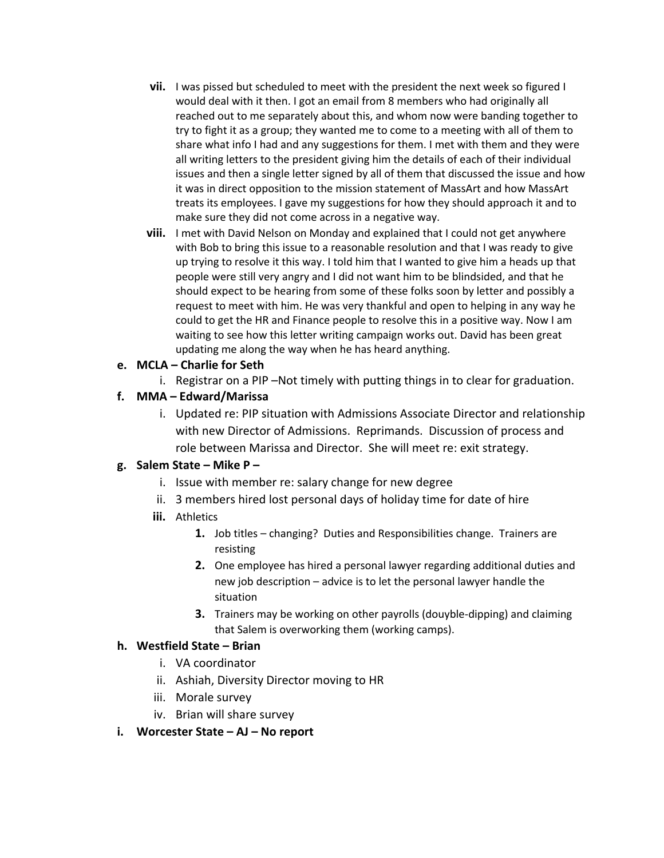- **vii.** I was pissed but scheduled to meet with the president the next week so figured I would deal with it then. I got an email from 8 members who had originally all reached out to me separately about this, and whom now were banding together to try to fight it as a group; they wanted me to come to a meeting with all of them to share what info I had and any suggestions for them. I met with them and they were all writing letters to the president giving him the details of each of their individual issues and then a single letter signed by all of them that discussed the issue and how it was in direct opposition to the mission statement of MassArt and how MassArt treats its employees. I gave my suggestions for how they should approach it and to make sure they did not come across in a negative way.
- **viii.** I met with David Nelson on Monday and explained that I could not get anywhere with Bob to bring this issue to a reasonable resolution and that I was ready to give up trying to resolve it this way. I told him that I wanted to give him a heads up that people were still very angry and I did not want him to be blindsided, and that he should expect to be hearing from some of these folks soon by letter and possibly a request to meet with him. He was very thankful and open to helping in any way he could to get the HR and Finance people to resolve this in a positive way. Now I am waiting to see how this letter writing campaign works out. David has been great updating me along the way when he has heard anything.

## **e. MCLA – Charlie for Seth**

i. Registrar on a PIP –Not timely with putting things in to clear for graduation.

## **f. MMA – Edward/Marissa**

i. Updated re: PIP situation with Admissions Associate Director and relationship with new Director of Admissions. Reprimands. Discussion of process and role between Marissa and Director. She will meet re: exit strategy.

#### **g. Salem State – Mike P –**

- i. Issue with member re: salary change for new degree
- ii. 3 members hired lost personal days of holiday time for date of hire
- **iii.** Athletics
	- **1.** Job titles changing? Duties and Responsibilities change. Trainers are resisting
	- **2.** One employee has hired a personal lawyer regarding additional duties and new job description – advice is to let the personal lawyer handle the situation
	- **3.** Trainers may be working on other payrolls (douyble-dipping) and claiming that Salem is overworking them (working camps).

#### **h. Westfield State – Brian**

- i. VA coordinator
- ii. Ashiah, Diversity Director moving to HR
- iii. Morale survey
- iv. Brian will share survey

#### **i. Worcester State – AJ – No report**